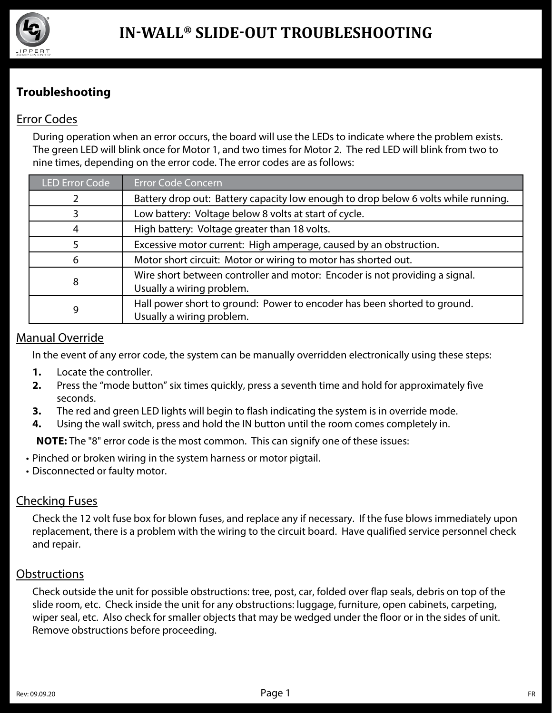

## **Troubleshooting**

## Error Codes

During operation when an error occurs, the board will use the LEDs to indicate where the problem exists. The green LED will blink once for Motor 1, and two times for Motor 2. The red LED will blink from two to nine times, depending on the error code. The error codes are as follows:

| <b>LED Error Code</b> | <b>Error Code Concern</b>                                                                                |
|-----------------------|----------------------------------------------------------------------------------------------------------|
|                       | Battery drop out: Battery capacity low enough to drop below 6 volts while running.                       |
|                       | Low battery: Voltage below 8 volts at start of cycle.                                                    |
| 4                     | High battery: Voltage greater than 18 volts.                                                             |
|                       | Excessive motor current: High amperage, caused by an obstruction.                                        |
| 6                     | Motor short circuit: Motor or wiring to motor has shorted out.                                           |
| 8                     | Wire short between controller and motor: Encoder is not providing a signal.<br>Usually a wiring problem. |
| 9                     | Hall power short to ground: Power to encoder has been shorted to ground.<br>Usually a wiring problem.    |

#### Manual Override

In the event of any error code, the system can be manually overridden electronically using these steps:

- **1.** Locate the controller.
- **2.** Press the "mode button" six times quickly, press a seventh time and hold for approximately five seconds.
- **3.** The red and green LED lights will begin to flash indicating the system is in override mode.
- **4.** Using the wall switch, press and hold the IN button until the room comes completely in.

**NOTE:** The "8" error code is the most common. This can signify one of these issues:

- Pinched or broken wiring in the system harness or motor pigtail.
- Disconnected or faulty motor.

## Checking Fuses

Check the 12 volt fuse box for blown fuses, and replace any if necessary. If the fuse blows immediately upon replacement, there is a problem with the wiring to the circuit board. Have qualified service personnel check and repair.

## **Obstructions**

Check outside the unit for possible obstructions: tree, post, car, folded over flap seals, debris on top of the slide room, etc. Check inside the unit for any obstructions: luggage, furniture, open cabinets, carpeting, wiper seal, etc. Also check for smaller objects that may be wedged under the floor or in the sides of unit. Remove obstructions before proceeding.